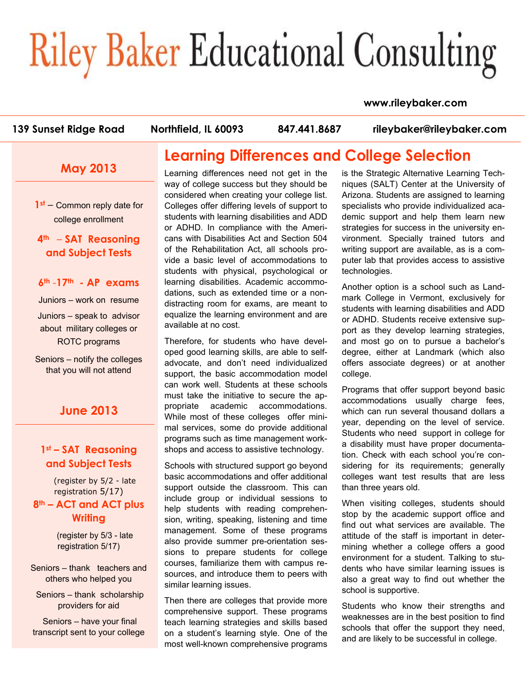# **Riley Baker Educational Consulting**

#### **www.rileybaker.com**

**139 Sunset Ridge Road Northfield, IL 60093 847.441.8687 rileybaker@rileybaker.com**

### **May 2013**

**1st** – Common reply date for college enrollment

**4th** – **SAT Reasoning and Subject Tests** 

**6th** -**17th - AP exams** 

Juniors – work on resume

Juniors – speak to advisor about military colleges or ROTC programs

Seniors – notify the colleges that you will not attend

#### **June 2013**

#### **1st – SAT Reasoning and Subject Tests**

(register by 5/2 - late registration 5/17) **8th – ACT and ACT plus Writing** 

> (register by 5/3 - late registration 5/17)

Seniors – thank teachers and others who helped you

 Seniors – thank scholarship providers for aid

 Seniors – have your final transcript sent to your college

## **Learning Differences and College Selection**

Learning differences need not get in the way of college success but they should be considered when creating your college list. Colleges offer differing levels of support to students with learning disabilities and ADD or ADHD. In compliance with the Americans with Disabilities Act and Section 504 of the Rehabilitation Act, all schools provide a basic level of accommodations to students with physical, psychological or learning disabilities. Academic accommodations, such as extended time or a nondistracting room for exams, are meant to equalize the learning environment and are available at no cost.

Therefore, for students who have developed good learning skills, are able to selfadvocate, and don't need individualized support, the basic accommodation model can work well. Students at these schools must take the initiative to secure the appropriate academic accommodations. While most of these colleges offer minimal services, some do provide additional programs such as time management workshops and access to assistive technology.

Schools with structured support go beyond basic accommodations and offer additional support outside the classroom. This can include group or individual sessions to help students with reading comprehension, writing, speaking, listening and time management. Some of these programs also provide summer pre-orientation sessions to prepare students for college courses, familiarize them with campus resources, and introduce them to peers with similar learning issues.

Then there are colleges that provide more comprehensive support. These programs teach learning strategies and skills based on a student's learning style. One of the most well-known comprehensive programs

is the Strategic Alternative Learning Techniques (SALT) Center at the University of Arizona. Students are assigned to learning specialists who provide individualized academic support and help them learn new strategies for success in the university environment. Specially trained tutors and writing support are available, as is a computer lab that provides access to assistive technologies.

Another option is a school such as Landmark College in Vermont, exclusively for students with learning disabilities and ADD or ADHD. Students receive extensive support as they develop learning strategies, and most go on to pursue a bachelor's degree, either at Landmark (which also offers associate degrees) or at another college.

Programs that offer support beyond basic accommodations usually charge fees, which can run several thousand dollars a year, depending on the level of service. Students who need support in college for a disability must have proper documentation. Check with each school you're considering for its requirements; generally colleges want test results that are less than three years old.

When visiting colleges, students should stop by the academic support office and find out what services are available. The attitude of the staff is important in determining whether a college offers a good environment for a student. Talking to students who have similar learning issues is also a great way to find out whether the school is supportive.

Students who know their strengths and weaknesses are in the best position to find schools that offer the support they need, and are likely to be successful in college.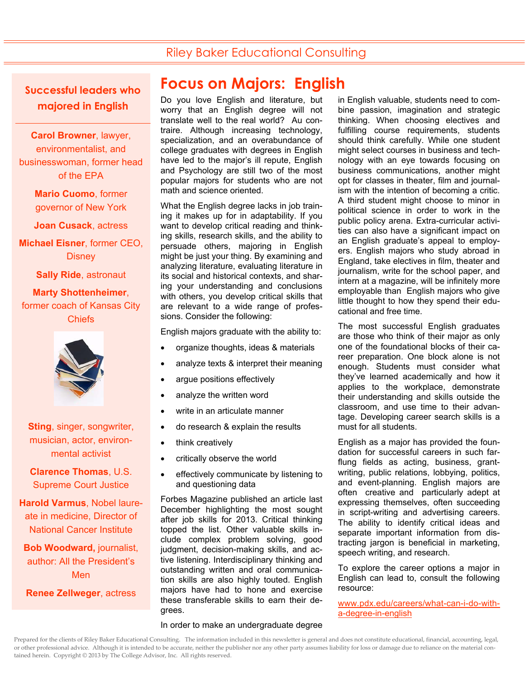## Riley Baker Educational Consulting

**Successful leaders who majored in English** 

**Carol Browner**, lawyer, environmentalist, and businesswoman, former head of the EPA

> **Mario Cuomo**, former governor of New York

**Joan Cusack**, actress

**Michael Eisner**, former CEO, **Disney** 

**Sally Ride**, astronaut

#### **Marty Shottenheimer**, former coach of Kansas City Chiefs



**Sting**, singer, songwriter, musician, actor, environmental activist

**Clarence Thomas**, U.S. Supreme Court Justice

**Harold Varmus**, Nobel laureate in medicine, Director of National Cancer Institute

**Bob Woodward,** journalist, author: All the President's Men

**Renee Zellweger**, actress

## **Focus on Majors: English**

Do you love English and literature, but worry that an English degree will not translate well to the real world? Au contraire. Although increasing technology, specialization, and an overabundance of college graduates with degrees in English have led to the major's ill repute, English and Psychology are still two of the most popular majors for students who are not math and science oriented.

What the English degree lacks in job training it makes up for in adaptability. If you want to develop critical reading and thinking skills, research skills, and the ability to persuade others, majoring in English might be just your thing. By examining and analyzing literature, evaluating literature in its social and historical contexts, and sharing your understanding and conclusions with others, you develop critical skills that are relevant to a wide range of professions. Consider the following:

English majors graduate with the ability to:

- organize thoughts, ideas & materials
- analyze texts & interpret their meaning
- argue positions effectively
- analyze the written word
- write in an articulate manner
- do research & explain the results
- think creatively
- critically observe the world
- effectively communicate by listening to and questioning data

Forbes Magazine published an article last December highlighting the most sought after job skills for 2013. Critical thinking topped the list. Other valuable skills include complex problem solving, good judgment, decision-making skills, and active listening. Interdisciplinary thinking and outstanding written and oral communication skills are also highly touted. English majors have had to hone and exercise these transferable skills to earn their degrees.

in English valuable, students need to combine passion, imagination and strategic thinking. When choosing electives and fulfilling course requirements, students should think carefully. While one student might select courses in business and technology with an eye towards focusing on business communications, another might opt for classes in theater, film and journalism with the intention of becoming a critic. A third student might choose to minor in political science in order to work in the public policy arena. Extra-curricular activities can also have a significant impact on an English graduate's appeal to employers. English majors who study abroad in England, take electives in film, theater and journalism, write for the school paper, and intern at a magazine, will be infinitely more employable than English majors who give little thought to how they spend their educational and free time.

The most successful English graduates are those who think of their major as only one of the foundational blocks of their career preparation. One block alone is not enough. Students must consider what they've learned academically and how it applies to the workplace, demonstrate their understanding and skills outside the classroom, and use time to their advantage. Developing career search skills is a must for all students.

English as a major has provided the foundation for successful careers in such farflung fields as acting, business, grantwriting, public relations, lobbying, politics, and event-planning. English majors are often creative and particularly adept at expressing themselves, often succeeding in script-writing and advertising careers. The ability to identify critical ideas and separate important information from distracting jargon is beneficial in marketing, speech writing, and research.

To explore the career options a major in English can lead to, consult the following resource:

www.pdx.edu/careers/what-can-i-do-witha-degree-in-english

#### In order to make an undergraduate degree

Prepared for the clients of Riley Baker Educational Consulting. The information included in this newsletter is general and does not constitute educational, financial, accounting, legal, or other professional advice. Although it is intended to be accurate, neither the publisher nor any other party assumes liability for loss or damage due to reliance on the material contained herein. Copyright © 2013 by The College Advisor, Inc. All rights reserved.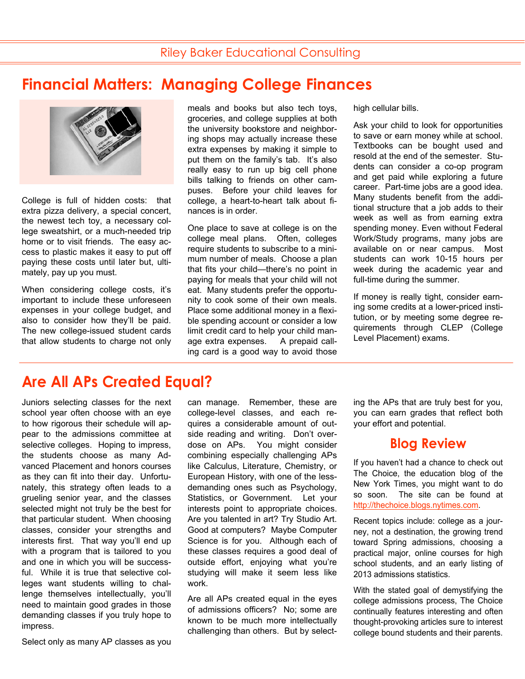# **Financial Matters: Managing College Finances**



College is full of hidden costs: that extra pizza delivery, a special concert, the newest tech toy, a necessary college sweatshirt, or a much-needed trip home or to visit friends. The easy access to plastic makes it easy to put off paying these costs until later but, ultimately, pay up you must.

When considering college costs, it's important to include these unforeseen expenses in your college budget, and also to consider how they'll be paid. The new college-issued student cards that allow students to charge not only meals and books but also tech toys, groceries, and college supplies at both the university bookstore and neighboring shops may actually increase these extra expenses by making it simple to put them on the family's tab. It's also really easy to run up big cell phone bills talking to friends on other campuses. Before your child leaves for college, a heart-to-heart talk about finances is in order.

One place to save at college is on the college meal plans. Often, colleges require students to subscribe to a minimum number of meals. Choose a plan that fits your child—there's no point in paying for meals that your child will not eat. Many students prefer the opportunity to cook some of their own meals. Place some additional money in a flexible spending account or consider a low limit credit card to help your child manage extra expenses. A prepaid calling card is a good way to avoid those

high cellular bills.

Ask your child to look for opportunities to save or earn money while at school. Textbooks can be bought used and resold at the end of the semester. Students can consider a co-op program and get paid while exploring a future career. Part-time jobs are a good idea. Many students benefit from the additional structure that a job adds to their week as well as from earning extra spending money. Even without Federal Work/Study programs, many jobs are available on or near campus. Most students can work 10-15 hours per week during the academic year and full-time during the summer.

If money is really tight, consider earning some credits at a lower-priced institution, or by meeting some degree requirements through CLEP (College Level Placement) exams.

## **Are All APs Created Equal?**

Juniors selecting classes for the next school year often choose with an eye to how rigorous their schedule will appear to the admissions committee at selective colleges. Hoping to impress, the students choose as many Advanced Placement and honors courses as they can fit into their day. Unfortunately, this strategy often leads to a grueling senior year, and the classes selected might not truly be the best for that particular student. When choosing classes, consider your strengths and interests first. That way you'll end up with a program that is tailored to you and one in which you will be successful. While it is true that selective colleges want students willing to challenge themselves intellectually, you'll need to maintain good grades in those demanding classes if you truly hope to impress.

can manage. Remember, these are college-level classes, and each requires a considerable amount of outside reading and writing. Don't overdose on APs. You might consider combining especially challenging APs like Calculus, Literature, Chemistry, or European History, with one of the lessdemanding ones such as Psychology, Statistics, or Government. Let your interests point to appropriate choices. Are you talented in art? Try Studio Art. Good at computers? Maybe Computer Science is for you. Although each of these classes requires a good deal of outside effort, enjoying what you're studying will make it seem less like work.

Are all APs created equal in the eyes of admissions officers? No; some are known to be much more intellectually challenging than others. But by selecting the APs that are truly best for you, you can earn grades that reflect both your effort and potential.

#### **Blog Review**

If you haven't had a chance to check out The Choice, the education blog of the New York Times, you might want to do so soon. The site can be found at http://thechoice.blogs.nytimes.com.

Recent topics include: college as a journey, not a destination, the growing trend toward Spring admissions, choosing a practical major, online courses for high school students, and an early listing of 2013 admissions statistics.

With the stated goal of demystifying the college admissions process, The Choice continually features interesting and often thought-provoking articles sure to interest college bound students and their parents.

Select only as many AP classes as you